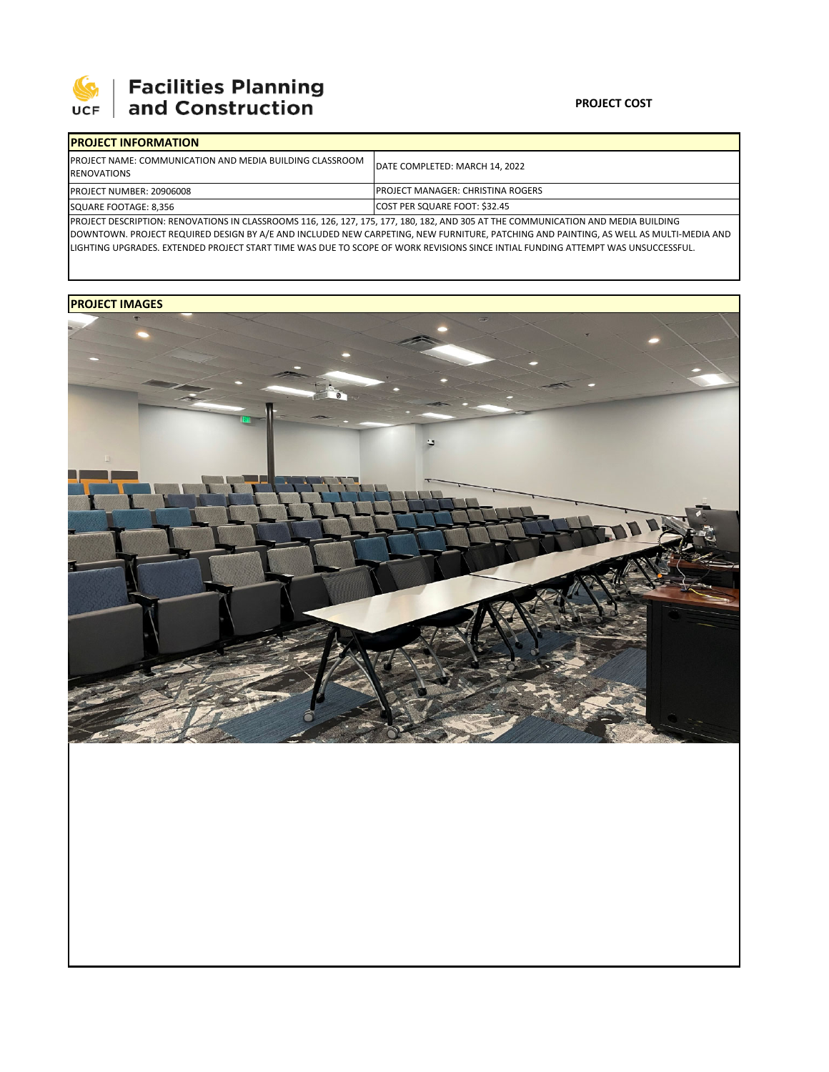

| <b>IPROJECT INFORMATION</b>                                                            |                                                                                                                             |  |  |  |
|----------------------------------------------------------------------------------------|-----------------------------------------------------------------------------------------------------------------------------|--|--|--|
| <b>IPROJECT NAME: COMMUNICATION AND MEDIA BUILDING CLASSROOM</b><br><b>RENOVATIONS</b> | DATE COMPLETED: MARCH 14, 2022                                                                                              |  |  |  |
| <b>PROJECT NUMBER: 20906008</b>                                                        | <b>IPROJECT MANAGER: CHRISTINA ROGERS</b>                                                                                   |  |  |  |
| SQUARE FOOTAGE: 8,356                                                                  | COST PER SQUARE FOOT: \$32.45                                                                                               |  |  |  |
|                                                                                        | IDROIECT DESCRIPTION: RENOVATIONS IN CLASSROOMS 116 126 127 125 127 180 182 AND 205 AT THE COMMUNICATION AND MEDIA RUILDING |  |  |  |

127, 175, 177, 180, 182, AND 305 AT THE C DOWNTOWN. PROJECT REQUIRED DESIGN BY A/E AND INCLUDED NEW CARPETING, NEW FURNITURE, PATCHING AND PAINTING, AS WELL AS MULTI‐MEDIA AND LIGHTING UPGRADES. EXTENDED PROJECT START TIME WAS DUE TO SCOPE OF WORK REVISIONS SINCE INTIAL FUNDING ATTEMPT WAS UNSUCCESSFUL.

## **PROJECT IMAGES**